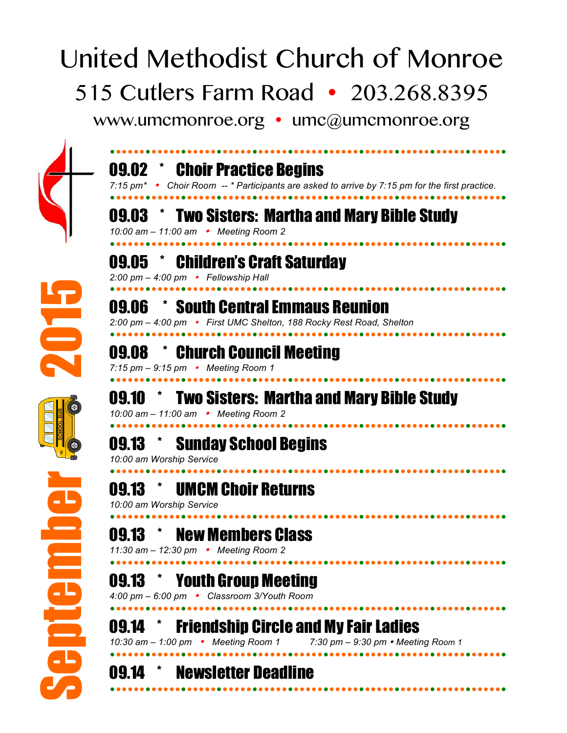## United Methodist Church of Monroe 515 Cutlers Farm Road • 203.268.8395

www.umcmonroe.org • umc@umcmonroe.org



| 09.02        | <b>Choir Practice Begins</b><br>7:15 pm <sup>*</sup> • Choir Room -- * Participants are asked to arrive by 7:15 pm for the first practice. |
|--------------|--------------------------------------------------------------------------------------------------------------------------------------------|
| 09.03        | * Two Sisters: Martha and Mary Bible Study<br>10:00 am - 11:00 am • Meeting Room 2                                                         |
| <b>U9.05</b> | <b>Children's Craft Saturday</b><br>2:00 pm - 4:00 pm • Fellowship Hall                                                                    |
| U9.06        | * South Central Emmaus Reunion<br>2:00 pm - 4:00 pm • First UMC Shelton, 188 Rocky Rest Road, Shelton                                      |
| <b>UY.U8</b> | <b>Church Council Meeting</b><br>7:15 pm $-$ 9:15 pm • Meeting Room 1                                                                      |
| 09.10        | <b>Two Sisters: Martha and Mary Bible Study</b><br>10:00 am - 11:00 am • Meeting Room 2                                                    |
| 09.13        | <b>Sunday School Begins</b><br>10:00 am Worship Service                                                                                    |
| 09.13        | <b>UMCM Choir Returns</b><br>10:00 am Worship Service                                                                                      |
| 09.13        | <b>New Members Class</b><br>11:30 am - 12:30 pm • Meeting Room 2                                                                           |
| 09.13        | <b>Youth Group Meeting</b><br>4:00 pm - 6:00 pm • Classroom 3/Youth Room                                                                   |
| <b>UY.14</b> | <b>Friendship Circle and My Fair Ladies</b><br>10:30 am - 1:00 pm • Meeting Room 1<br>7:30 pm $-$ 9:30 pm $\cdot$ Meeting Room 1           |
| 09.14        | <b>Newsletter Deadline</b>                                                                                                                 |
|              |                                                                                                                                            |